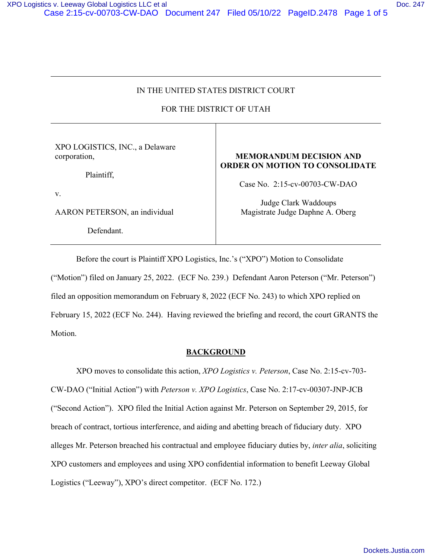# IN THE UNITED STATES DISTRICT COURT

# FOR THE DISTRICT OF UTAH

XPO LOGISTICS, INC., a Delaware corporation,

Plaintiff,

v.

AARON PETERSON, an individual

Defendant.

### **MEMORANDUM DECISION AND ORDER ON MOTION TO CONSOLIDATE**

Case No. 2:15-cv-00703-CW-DAO

Judge Clark Waddoups Magistrate Judge Daphne A. Oberg

 Before the court is Plaintiff XPO Logistics, Inc.'s ("XPO") Motion to Consolidate ("Motion") filed on January 25, 2022. (ECF No. 239.) Defendant Aaron Peterson ("Mr. Peterson") filed an opposition memorandum on February 8, 2022 (ECF No. 243) to which XPO replied on February 15, 2022 (ECF No. 244). Having reviewed the briefing and record, the court GRANTS the Motion.

## **BACKGROUND**

 XPO moves to consolidate this action, *XPO Logistics v. Peterson*, Case No. 2:15-cv-703- CW-DAO ("Initial Action") with *Peterson v. XPO Logistics*, Case No. 2:17-cv-00307-JNP-JCB ("Second Action"). XPO filed the Initial Action against Mr. Peterson on September 29, 2015, for breach of contract, tortious interference, and aiding and abetting breach of fiduciary duty. XPO alleges Mr. Peterson breached his contractual and employee fiduciary duties by, *inter alia*, soliciting XPO customers and employees and using XPO confidential information to benefit Leeway Global Logistics ("Leeway"), XPO's direct competitor. (ECF No. 172.)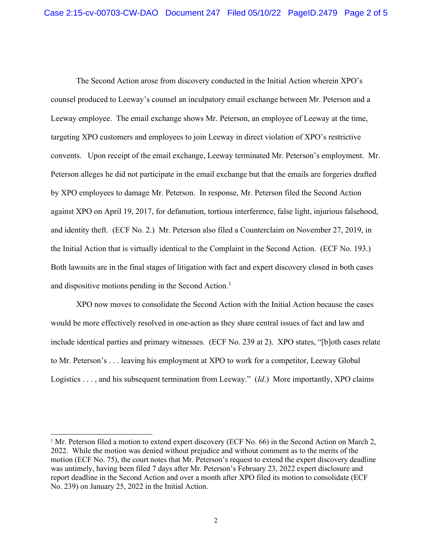The Second Action arose from discovery conducted in the Initial Action wherein XPO's counsel produced to Leeway's counsel an inculpatory email exchange between Mr. Peterson and a Leeway employee. The email exchange shows Mr. Peterson, an employee of Leeway at the time, targeting XPO customers and employees to join Leeway in direct violation of XPO's restrictive convents. Upon receipt of the email exchange, Leeway terminated Mr. Peterson's employment. Mr. Peterson alleges he did not participate in the email exchange but that the emails are forgeries drafted by XPO employees to damage Mr. Peterson. In response, Mr. Peterson filed the Second Action against XPO on April 19, 2017, for defamation, tortious interference, false light, injurious falsehood, and identity theft. (ECF No. 2.) Mr. Peterson also filed a Counterclaim on November 27, 2019, in the Initial Action that is virtually identical to the Complaint in the Second Action. (ECF No. 193.) Both lawsuits are in the final stages of litigation with fact and expert discovery closed in both cases and dispositive motions pending in the Second Action.<sup>[1](#page-1-0)</sup>

 XPO now moves to consolidate the Second Action with the Initial Action because the cases would be more effectively resolved in one-action as they share central issues of fact and law and include identical parties and primary witnesses. (ECF No. 239 at 2). XPO states, "[b]oth cases relate to Mr. Peterson's . . . leaving his employment at XPO to work for a competitor, Leeway Global Logistics . . . , and his subsequent termination from Leeway." (*Id*.) More importantly, XPO claims

<span id="page-1-0"></span><sup>&</sup>lt;sup>1</sup> Mr. Peterson filed a motion to extend expert discovery (ECF No. 66) in the Second Action on March 2, 2022. While the motion was denied without prejudice and without comment as to the merits of the motion (ECF No. 75), the court notes that Mr. Peterson's request to extend the expert discovery deadline was untimely, having been filed 7 days after Mr. Peterson's February 23, 2022 expert disclosure and report deadline in the Second Action and over a month after XPO filed its motion to consolidate (ECF No. 239) on January 25, 2022 in the Initial Action.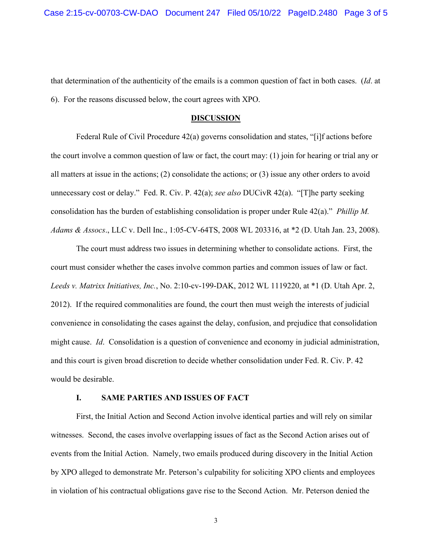that determination of the authenticity of the emails is a common question of fact in both cases. (*Id*. at 6). For the reasons discussed below, the court agrees with XPO.

#### **DISCUSSION**

 Federal Rule of Civil Procedure 42(a) governs consolidation and states, "[i]f actions before the court involve a common question of law or fact, the court may: (1) join for hearing or trial any or all matters at issue in the actions; (2) consolidate the actions; or (3) issue any other orders to avoid unnecessary cost or delay." Fed. R. Civ. P. 42(a); *see also* DUCivR 42(a). "[T]he party seeking consolidation has the burden of establishing consolidation is proper under Rule 42(a)." *Phillip M. Adams & Assocs*., LLC v. Dell Inc., 1:05-CV-64TS, 2008 WL 203316, at \*2 (D. Utah Jan. 23, 2008).

The court must address two issues in determining whether to consolidate actions. First, the court must consider whether the cases involve common parties and common issues of law or fact. *Leeds v. Matrixx Initiatives, Inc.*, No. 2:10-cv-199-DAK, 2012 WL 1119220, at \*1 (D. Utah Apr. 2, 2012). If the required commonalities are found, the court then must weigh the interests of judicial convenience in consolidating the cases against the delay, confusion, and prejudice that consolidation might cause. *Id*. Consolidation is a question of convenience and economy in judicial administration, and this court is given broad discretion to decide whether consolidation under Fed. R. Civ. P. 42 would be desirable.

### **I. SAME PARTIES AND ISSUES OF FACT**

First, the Initial Action and Second Action involve identical parties and will rely on similar witnesses. Second, the cases involve overlapping issues of fact as the Second Action arises out of events from the Initial Action. Namely, two emails produced during discovery in the Initial Action by XPO alleged to demonstrate Mr. Peterson's culpability for soliciting XPO clients and employees in violation of his contractual obligations gave rise to the Second Action. Mr. Peterson denied the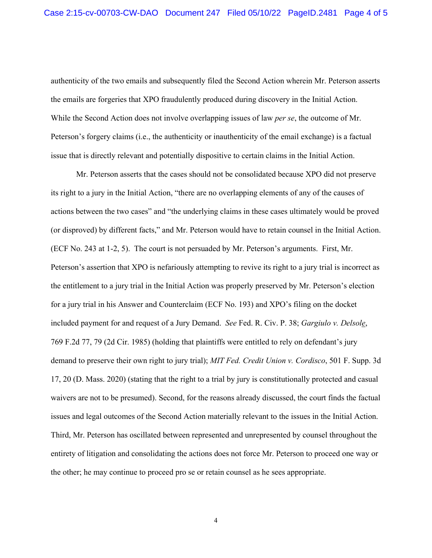authenticity of the two emails and subsequently filed the Second Action wherein Mr. Peterson asserts the emails are forgeries that XPO fraudulently produced during discovery in the Initial Action. While the Second Action does not involve overlapping issues of law *per se*, the outcome of Mr. Peterson's forgery claims (i.e., the authenticity or inauthenticity of the email exchange) is a factual issue that is directly relevant and potentially dispositive to certain claims in the Initial Action.

Mr. Peterson asserts that the cases should not be consolidated because XPO did not preserve its right to a jury in the Initial Action, "there are no overlapping elements of any of the causes of actions between the two cases" and "the underlying claims in these cases ultimately would be proved (or disproved) by different facts," and Mr. Peterson would have to retain counsel in the Initial Action. (ECF No. 243 at 1-2, 5). The court is not persuaded by Mr. Peterson's arguments. First, Mr. Peterson's assertion that XPO is nefariously attempting to revive its right to a jury trial is incorrect as the entitlement to a jury trial in the Initial Action was properly preserved by Mr. Peterson's election for a jury trial in his Answer and Counterclaim (ECF No. 193) and XPO's filing on the docket included payment for and request of a Jury Demand. *See* Fed. R. Civ. P. 38; *Gargiulo v. Delsole*, 769 F.2d 77, 79 (2d Cir. 1985) (holding that plaintiffs were entitled to rely on defendant's jury demand to preserve their own right to jury trial); *MIT Fed. Credit Union v. Cordisco*, 501 F. Supp. 3d 17, 20 (D. Mass. 2020) (stating that the right to a trial by jury is constitutionally protected and casual waivers are not to be presumed). Second, for the reasons already discussed, the court finds the factual issues and legal outcomes of the Second Action materially relevant to the issues in the Initial Action. Third, Mr. Peterson has oscillated between represented and unrepresented by counsel throughout the entirety of litigation and consolidating the actions does not force Mr. Peterson to proceed one way or the other; he may continue to proceed pro se or retain counsel as he sees appropriate.